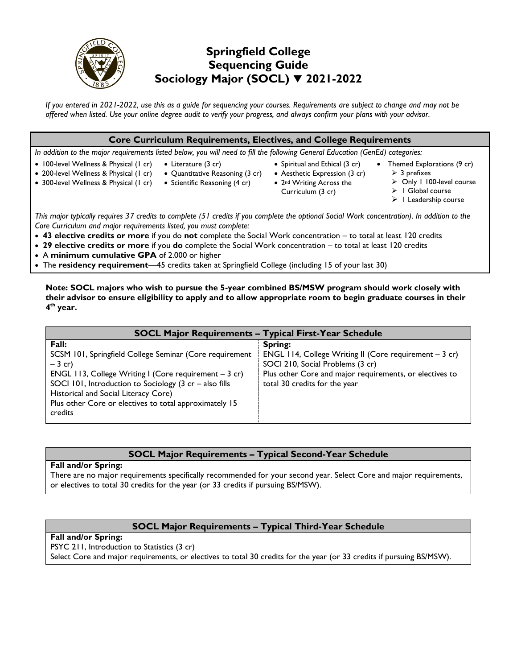

# **Springfield College Sequencing Guide Sociology Major (SOCL) 2021-2022**

*If you entered in 2021-2022, use this as a guide for sequencing your courses. Requirements are subject to change and may not be offered when listed. Use your online degree audit to verify your progress, and always confirm your plans with your advisor.* 

#### **Core Curriculum Requirements, Electives, and College Requirements**

*In addition to the major requirements listed below, you will need to fill the following General Education (GenEd) categories:*

- 100-level Wellness & Physical (1 cr) • Literature (3 cr)
- 200-level Wellness & Physical (1 cr) • Quantitative Reasoning (3 cr)
- 300-level Wellness & Physical (1 cr)
- Scientific Reasoning (4 cr) • Aesthetic Expression (3 cr)
	- 2<sup>nd</sup> Writing Across the Curriculum (3 cr)

• Spiritual and Ethical (3 cr)

- Themed Explorations (9 cr)  $>$  3 prefixes
	- Only 1 100-level course
	- $\triangleright$  1 Global course
		- $\triangleright$  1 Leadership course

*This major typically requires 37 credits to complete (51 credits if you complete the optional Social Work concentration). In addition to the Core Curriculum and major requirements listed, you must complete:*

- **43 elective credits or more** if you do **not** complete the Social Work concentration to total at least 120 credits
- **29 elective credits or more** if you **do** complete the Social Work concentration to total at least 120 credits
- A **minimum cumulative GPA** of 2.000 or higher

The **residency requirement**—45 credits taken at Springfield College (including 15 of your last 30)

**Note: SOCL majors who wish to pursue the 5-year combined BS/MSW program should work closely with their advisor to ensure eligibility to apply and to allow appropriate room to begin graduate courses in their 4 th year.**

| <b>SOCL Major Requirements - Typical First-Year Schedule</b>                                                                                                                                                                                                                                                                    |                                                                                                                                                                                                    |
|---------------------------------------------------------------------------------------------------------------------------------------------------------------------------------------------------------------------------------------------------------------------------------------------------------------------------------|----------------------------------------------------------------------------------------------------------------------------------------------------------------------------------------------------|
| Fall:<br>SCSM 101, Springfield College Seminar (Core requirement<br>$-3$ cr)<br>ENGL 113, College Writing I (Core requirement $-3$ cr)<br>SOCI 101, Introduction to Sociology $(3 \text{ cr} - \text{also fills})$<br>Historical and Social Literacy Core)<br>Plus other Core or electives to total approximately 15<br>credits | Spring:<br>ENGL 114, College Writing II (Core requirement $-3$ cr)<br>SOCI 210, Social Problems (3 cr)<br>Plus other Core and major requirements, or electives to<br>total 30 credits for the year |

# **SOCL Major Requirements – Typical Second-Year Schedule**

#### **Fall and/or Spring:**

There are no major requirements specifically recommended for your second year. Select Core and major requirements, or electives to total 30 credits for the year (or 33 credits if pursuing BS/MSW).

## **SOCL Major Requirements – Typical Third-Year Schedule**

#### **Fall and/or Spring:**

PSYC 211, Introduction to Statistics (3 cr)

Select Core and major requirements, or electives to total 30 credits for the year (or 33 credits if pursuing BS/MSW).